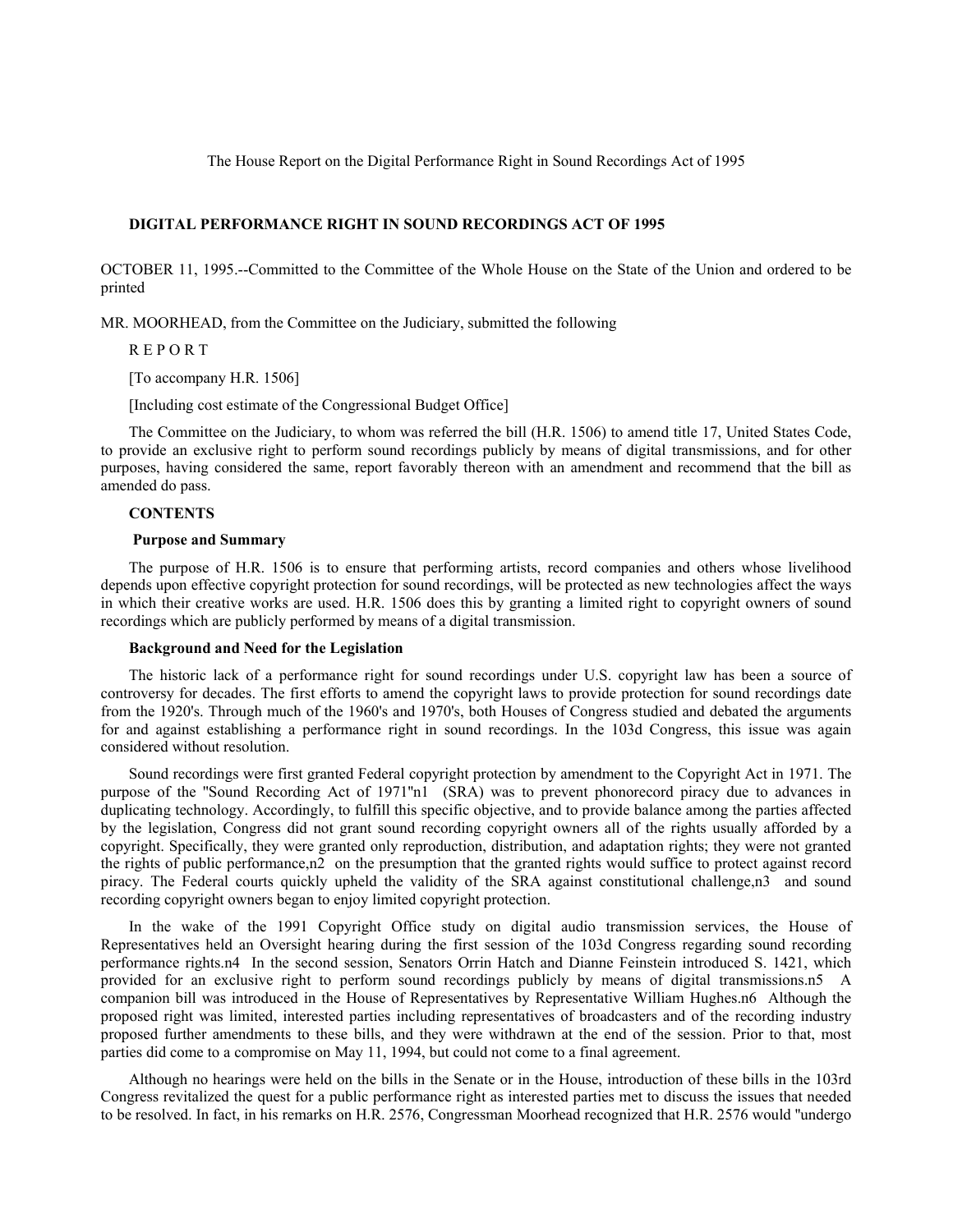The House Report on the Digital Performance Right in Sound Recordings Act of 1995

## **DIGITAL PERFORMANCE RIGHT IN SOUND RECORDINGS ACT OF 1995**

OCTOBER 11, 1995.--Committed to the Committee of the Whole House on the State of the Union and ordered to be printed

MR. MOORHEAD, from the Committee on the Judiciary, submitted the following

R E P O R T

[To accompany H.R. 1506]

[Including cost estimate of the Congressional Budget Office]

The Committee on the Judiciary, to whom was referred the bill (H.R. 1506) to amend title 17, United States Code, to provide an exclusive right to perform sound recordings publicly by means of digital transmissions, and for other purposes, having considered the same, report favorably thereon with an amendment and recommend that the bill as amended do pass.

# **CONTENTS**

## **Purpose and Summary**

The purpose of H.R. 1506 is to ensure that performing artists, record companies and others whose livelihood depends upon effective copyright protection for sound recordings, will be protected as new technologies affect the ways in which their creative works are used. H.R. 1506 does this by granting a limited right to copyright owners of sound recordings which are publicly performed by means of a digital transmission.

## **Background and Need for the Legislation**

The historic lack of a performance right for sound recordings under U.S. copyright law has been a source of controversy for decades. The first efforts to amend the copyright laws to provide protection for sound recordings date from the 1920's. Through much of the 1960's and 1970's, both Houses of Congress studied and debated the arguments for and against establishing a performance right in sound recordings. In the 103d Congress, this issue was again considered without resolution.

Sound recordings were first granted Federal copyright protection by amendment to the Copyright Act in 1971. The purpose of the ''Sound Recording Act of 1971''n1 (SRA) was to prevent phonorecord piracy due to advances in duplicating technology. Accordingly, to fulfill this specific objective, and to provide balance among the parties affected by the legislation, Congress did not grant sound recording copyright owners all of the rights usually afforded by a copyright. Specifically, they were granted only reproduction, distribution, and adaptation rights; they were not granted the rights of public performance,n2 on the presumption that the granted rights would suffice to protect against record piracy. The Federal courts quickly upheld the validity of the SRA against constitutional challenge,n3 and sound recording copyright owners began to enjoy limited copyright protection.

In the wake of the 1991 Copyright Office study on digital audio transmission services, the House of Representatives held an Oversight hearing during the first session of the 103d Congress regarding sound recording performance rights.n4 In the second session, Senators Orrin Hatch and Dianne Feinstein introduced S. 1421, which provided for an exclusive right to perform sound recordings publicly by means of digital transmissions.n5 A companion bill was introduced in the House of Representatives by Representative William Hughes.n6 Although the proposed right was limited, interested parties including representatives of broadcasters and of the recording industry proposed further amendments to these bills, and they were withdrawn at the end of the session. Prior to that, most parties did come to a compromise on May 11, 1994, but could not come to a final agreement.

Although no hearings were held on the bills in the Senate or in the House, introduction of these bills in the 103rd Congress revitalized the quest for a public performance right as interested parties met to discuss the issues that needed to be resolved. In fact, in his remarks on H.R. 2576, Congressman Moorhead recognized that H.R. 2576 would ''undergo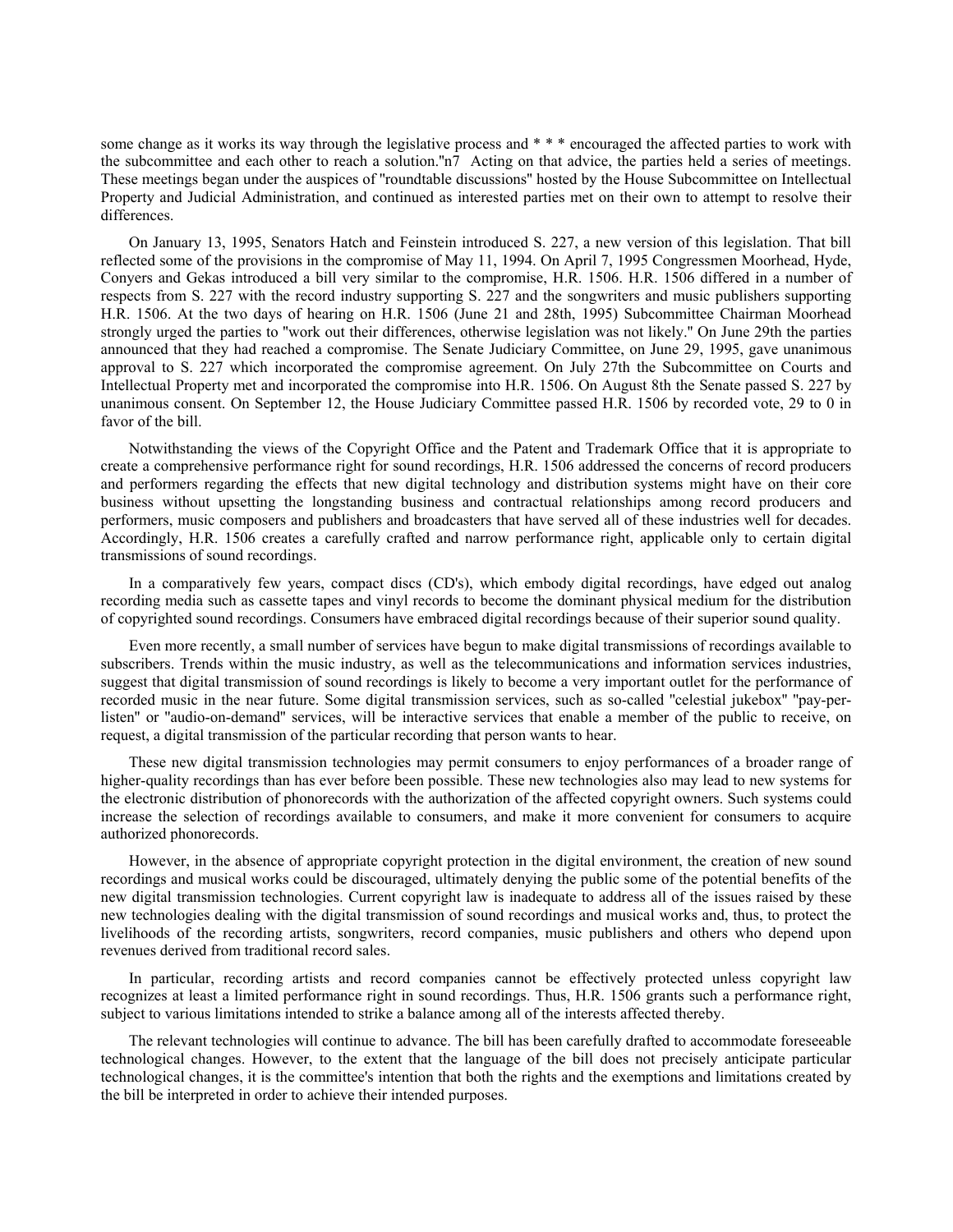some change as it works its way through the legislative process and \* \* \* encouraged the affected parties to work with the subcommittee and each other to reach a solution.''n7 Acting on that advice, the parties held a series of meetings. These meetings began under the auspices of ''roundtable discussions'' hosted by the House Subcommittee on Intellectual Property and Judicial Administration, and continued as interested parties met on their own to attempt to resolve their differences.

On January 13, 1995, Senators Hatch and Feinstein introduced S. 227, a new version of this legislation. That bill reflected some of the provisions in the compromise of May 11, 1994. On April 7, 1995 Congressmen Moorhead, Hyde, Conyers and Gekas introduced a bill very similar to the compromise, H.R. 1506. H.R. 1506 differed in a number of respects from S. 227 with the record industry supporting S. 227 and the songwriters and music publishers supporting H.R. 1506. At the two days of hearing on H.R. 1506 (June 21 and 28th, 1995) Subcommittee Chairman Moorhead strongly urged the parties to ''work out their differences, otherwise legislation was not likely.'' On June 29th the parties announced that they had reached a compromise. The Senate Judiciary Committee, on June 29, 1995, gave unanimous approval to S. 227 which incorporated the compromise agreement. On July 27th the Subcommittee on Courts and Intellectual Property met and incorporated the compromise into H.R. 1506. On August 8th the Senate passed S. 227 by unanimous consent. On September 12, the House Judiciary Committee passed H.R. 1506 by recorded vote, 29 to 0 in favor of the bill.

Notwithstanding the views of the Copyright Office and the Patent and Trademark Office that it is appropriate to create a comprehensive performance right for sound recordings, H.R. 1506 addressed the concerns of record producers and performers regarding the effects that new digital technology and distribution systems might have on their core business without upsetting the longstanding business and contractual relationships among record producers and performers, music composers and publishers and broadcasters that have served all of these industries well for decades. Accordingly, H.R. 1506 creates a carefully crafted and narrow performance right, applicable only to certain digital transmissions of sound recordings.

In a comparatively few years, compact discs (CD's), which embody digital recordings, have edged out analog recording media such as cassette tapes and vinyl records to become the dominant physical medium for the distribution of copyrighted sound recordings. Consumers have embraced digital recordings because of their superior sound quality.

Even more recently, a small number of services have begun to make digital transmissions of recordings available to subscribers. Trends within the music industry, as well as the telecommunications and information services industries, suggest that digital transmission of sound recordings is likely to become a very important outlet for the performance of recorded music in the near future. Some digital transmission services, such as so-called ''celestial jukebox'' ''pay-perlisten'' or ''audio-on-demand'' services, will be interactive services that enable a member of the public to receive, on request, a digital transmission of the particular recording that person wants to hear.

These new digital transmission technologies may permit consumers to enjoy performances of a broader range of higher-quality recordings than has ever before been possible. These new technologies also may lead to new systems for the electronic distribution of phonorecords with the authorization of the affected copyright owners. Such systems could increase the selection of recordings available to consumers, and make it more convenient for consumers to acquire authorized phonorecords.

However, in the absence of appropriate copyright protection in the digital environment, the creation of new sound recordings and musical works could be discouraged, ultimately denying the public some of the potential benefits of the new digital transmission technologies. Current copyright law is inadequate to address all of the issues raised by these new technologies dealing with the digital transmission of sound recordings and musical works and, thus, to protect the livelihoods of the recording artists, songwriters, record companies, music publishers and others who depend upon revenues derived from traditional record sales.

In particular, recording artists and record companies cannot be effectively protected unless copyright law recognizes at least a limited performance right in sound recordings. Thus, H.R. 1506 grants such a performance right, subject to various limitations intended to strike a balance among all of the interests affected thereby.

The relevant technologies will continue to advance. The bill has been carefully drafted to accommodate foreseeable technological changes. However, to the extent that the language of the bill does not precisely anticipate particular technological changes, it is the committee's intention that both the rights and the exemptions and limitations created by the bill be interpreted in order to achieve their intended purposes.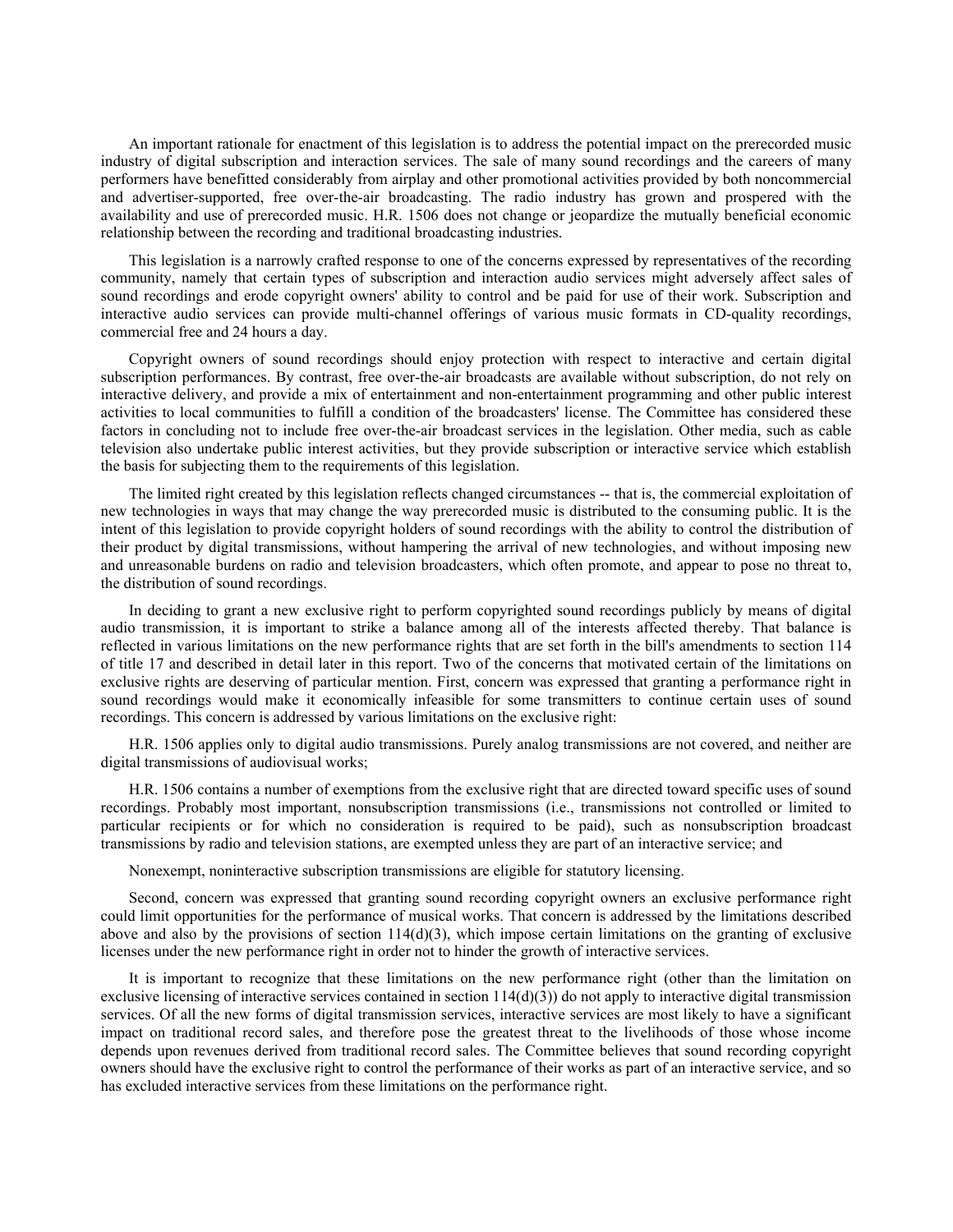An important rationale for enactment of this legislation is to address the potential impact on the prerecorded music industry of digital subscription and interaction services. The sale of many sound recordings and the careers of many performers have benefitted considerably from airplay and other promotional activities provided by both noncommercial and advertiser-supported, free over-the-air broadcasting. The radio industry has grown and prospered with the availability and use of prerecorded music. H.R. 1506 does not change or jeopardize the mutually beneficial economic relationship between the recording and traditional broadcasting industries.

This legislation is a narrowly crafted response to one of the concerns expressed by representatives of the recording community, namely that certain types of subscription and interaction audio services might adversely affect sales of sound recordings and erode copyright owners' ability to control and be paid for use of their work. Subscription and interactive audio services can provide multi-channel offerings of various music formats in CD-quality recordings, commercial free and 24 hours a day.

Copyright owners of sound recordings should enjoy protection with respect to interactive and certain digital subscription performances. By contrast, free over-the-air broadcasts are available without subscription, do not rely on interactive delivery, and provide a mix of entertainment and non-entertainment programming and other public interest activities to local communities to fulfill a condition of the broadcasters' license. The Committee has considered these factors in concluding not to include free over-the-air broadcast services in the legislation. Other media, such as cable television also undertake public interest activities, but they provide subscription or interactive service which establish the basis for subjecting them to the requirements of this legislation.

The limited right created by this legislation reflects changed circumstances -- that is, the commercial exploitation of new technologies in ways that may change the way prerecorded music is distributed to the consuming public. It is the intent of this legislation to provide copyright holders of sound recordings with the ability to control the distribution of their product by digital transmissions, without hampering the arrival of new technologies, and without imposing new and unreasonable burdens on radio and television broadcasters, which often promote, and appear to pose no threat to, the distribution of sound recordings.

In deciding to grant a new exclusive right to perform copyrighted sound recordings publicly by means of digital audio transmission, it is important to strike a balance among all of the interests affected thereby. That balance is reflected in various limitations on the new performance rights that are set forth in the bill's amendments to section 114 of title 17 and described in detail later in this report. Two of the concerns that motivated certain of the limitations on exclusive rights are deserving of particular mention. First, concern was expressed that granting a performance right in sound recordings would make it economically infeasible for some transmitters to continue certain uses of sound recordings. This concern is addressed by various limitations on the exclusive right:

H.R. 1506 applies only to digital audio transmissions. Purely analog transmissions are not covered, and neither are digital transmissions of audiovisual works;

H.R. 1506 contains a number of exemptions from the exclusive right that are directed toward specific uses of sound recordings. Probably most important, nonsubscription transmissions (i.e., transmissions not controlled or limited to particular recipients or for which no consideration is required to be paid), such as nonsubscription broadcast transmissions by radio and television stations, are exempted unless they are part of an interactive service; and

Nonexempt, noninteractive subscription transmissions are eligible for statutory licensing.

Second, concern was expressed that granting sound recording copyright owners an exclusive performance right could limit opportunities for the performance of musical works. That concern is addressed by the limitations described above and also by the provisions of section  $114(d)(3)$ , which impose certain limitations on the granting of exclusive licenses under the new performance right in order not to hinder the growth of interactive services.

It is important to recognize that these limitations on the new performance right (other than the limitation on exclusive licensing of interactive services contained in section  $114(d)(3)$ ) do not apply to interactive digital transmission services. Of all the new forms of digital transmission services, interactive services are most likely to have a significant impact on traditional record sales, and therefore pose the greatest threat to the livelihoods of those whose income depends upon revenues derived from traditional record sales. The Committee believes that sound recording copyright owners should have the exclusive right to control the performance of their works as part of an interactive service, and so has excluded interactive services from these limitations on the performance right.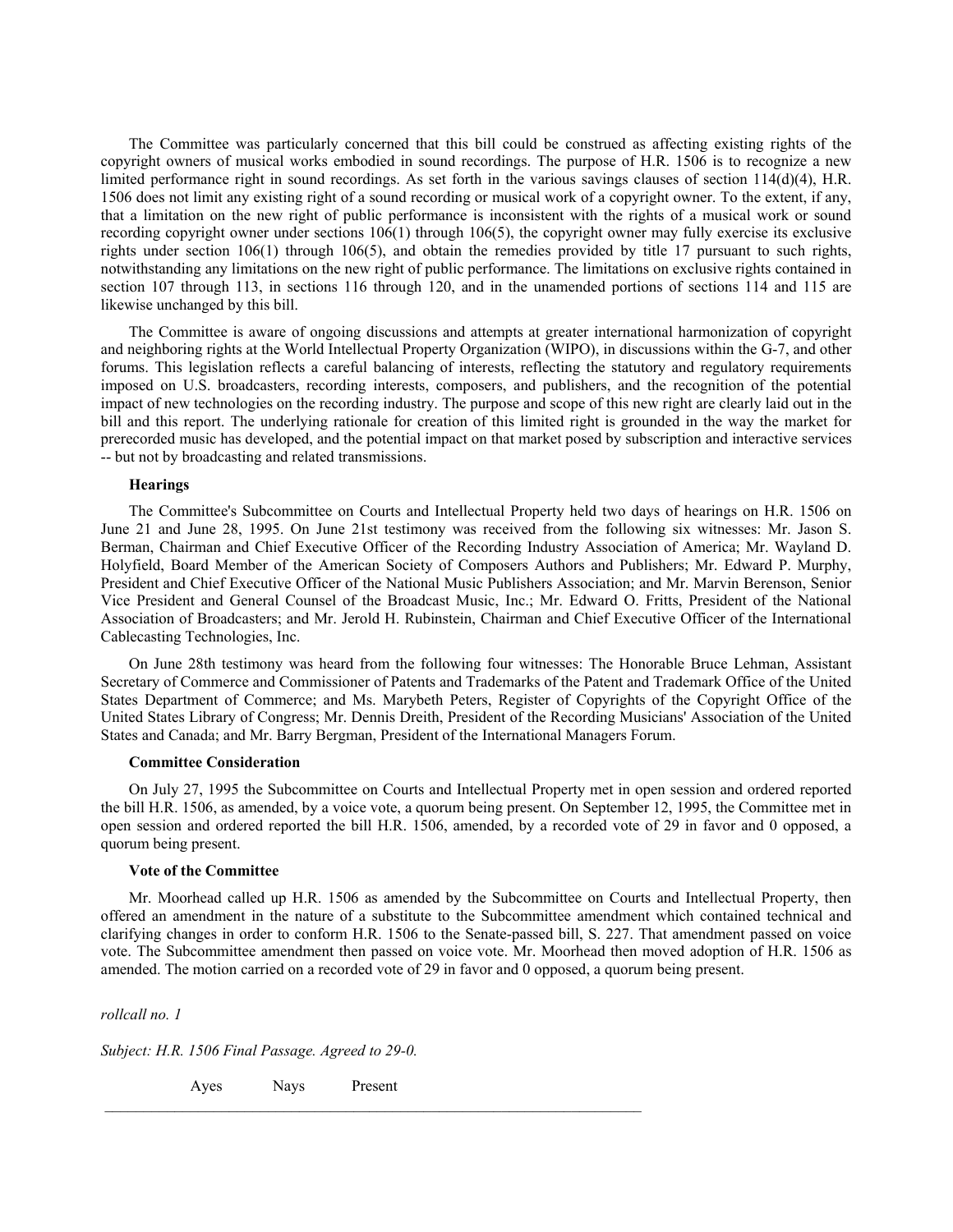The Committee was particularly concerned that this bill could be construed as affecting existing rights of the copyright owners of musical works embodied in sound recordings. The purpose of H.R. 1506 is to recognize a new limited performance right in sound recordings. As set forth in the various savings clauses of section 114(d)(4), H.R. 1506 does not limit any existing right of a sound recording or musical work of a copyright owner. To the extent, if any, that a limitation on the new right of public performance is inconsistent with the rights of a musical work or sound recording copyright owner under sections  $106(1)$  through  $106(5)$ , the copyright owner may fully exercise its exclusive rights under section 106(1) through 106(5), and obtain the remedies provided by title 17 pursuant to such rights, notwithstanding any limitations on the new right of public performance. The limitations on exclusive rights contained in section 107 through 113, in sections 116 through 120, and in the unamended portions of sections 114 and 115 are likewise unchanged by this bill.

The Committee is aware of ongoing discussions and attempts at greater international harmonization of copyright and neighboring rights at the World Intellectual Property Organization (WIPO), in discussions within the G-7, and other forums. This legislation reflects a careful balancing of interests, reflecting the statutory and regulatory requirements imposed on U.S. broadcasters, recording interests, composers, and publishers, and the recognition of the potential impact of new technologies on the recording industry. The purpose and scope of this new right are clearly laid out in the bill and this report. The underlying rationale for creation of this limited right is grounded in the way the market for prerecorded music has developed, and the potential impact on that market posed by subscription and interactive services -- but not by broadcasting and related transmissions.

### **Hearings**

The Committee's Subcommittee on Courts and Intellectual Property held two days of hearings on H.R. 1506 on June 21 and June 28, 1995. On June 21st testimony was received from the following six witnesses: Mr. Jason S. Berman, Chairman and Chief Executive Officer of the Recording Industry Association of America; Mr. Wayland D. Holyfield, Board Member of the American Society of Composers Authors and Publishers; Mr. Edward P. Murphy, President and Chief Executive Officer of the National Music Publishers Association; and Mr. Marvin Berenson, Senior Vice President and General Counsel of the Broadcast Music, Inc.; Mr. Edward O. Fritts, President of the National Association of Broadcasters; and Mr. Jerold H. Rubinstein, Chairman and Chief Executive Officer of the International Cablecasting Technologies, Inc.

On June 28th testimony was heard from the following four witnesses: The Honorable Bruce Lehman, Assistant Secretary of Commerce and Commissioner of Patents and Trademarks of the Patent and Trademark Office of the United States Department of Commerce; and Ms. Marybeth Peters, Register of Copyrights of the Copyright Office of the United States Library of Congress; Mr. Dennis Dreith, President of the Recording Musicians' Association of the United States and Canada; and Mr. Barry Bergman, President of the International Managers Forum.

#### **Committee Consideration**

On July 27, 1995 the Subcommittee on Courts and Intellectual Property met in open session and ordered reported the bill H.R. 1506, as amended, by a voice vote, a quorum being present. On September 12, 1995, the Committee met in open session and ordered reported the bill H.R. 1506, amended, by a recorded vote of 29 in favor and 0 opposed, a quorum being present.

## **Vote of the Committee**

Mr. Moorhead called up H.R. 1506 as amended by the Subcommittee on Courts and Intellectual Property, then offered an amendment in the nature of a substitute to the Subcommittee amendment which contained technical and clarifying changes in order to conform H.R. 1506 to the Senate-passed bill, S. 227. That amendment passed on voice vote. The Subcommittee amendment then passed on voice vote. Mr. Moorhead then moved adoption of H.R. 1506 as amended. The motion carried on a recorded vote of 29 in favor and 0 opposed, a quorum being present.

*rollcall no. 1*

*Subject: H.R. 1506 Final Passage. Agreed to 29-0.*

Ayes Nays Present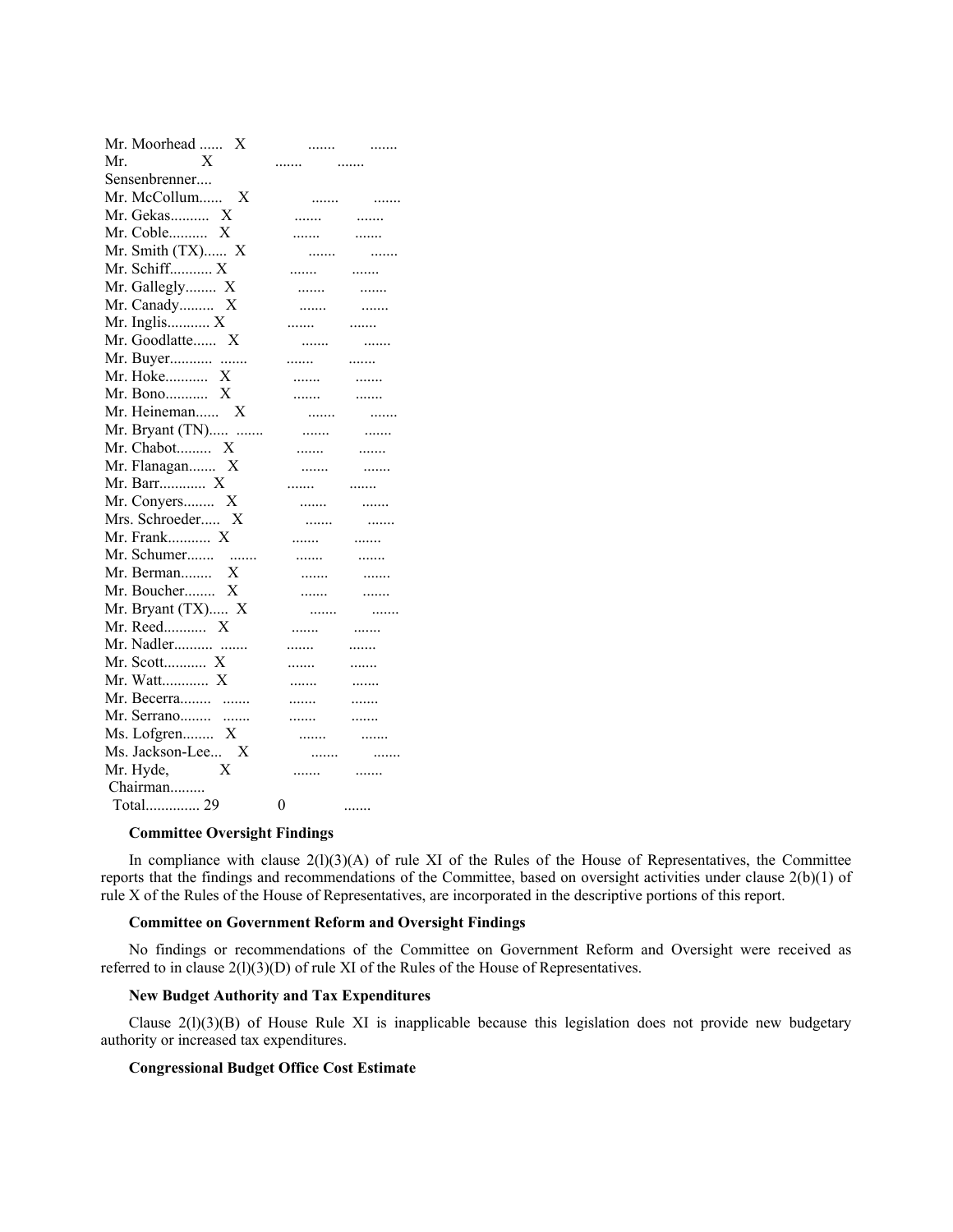| Mr. Moorhead<br>X |                |   |
|-------------------|----------------|---|
| Mr.<br>X          |                | . |
| Sensenbrenner     |                |   |
| Mr. McCollum<br>X | .              | . |
| Mr. Gekas<br>X    |                | . |
| Mr. Coble<br>X    | .              | . |
| Mr. Smith (TX) X  | .              | . |
| Mr. Schiff X      |                | . |
| Mr. Gallegly X    | .              |   |
| Mr. Canady X      | .              | . |
| Mr. Inglis $X$    |                | . |
| Mr. Goodlatte X   | .              | . |
| Mr. Buyer         |                | . |
| Mr. Hoke<br>X     | .              | . |
| Mr. Bono X        | .              | . |
| Mr. Heineman X    | .              | . |
| Mr. Bryant (TN)   | .              | . |
| Mr. Chabot X      |                | . |
| Mr. Flanagan X    | .              | . |
| Mr. Barr X        |                | . |
| Mr. Conyers X     | .              | . |
| Mrs. Schroeder X  | .              | . |
| Mr. Frank X       | .              | . |
| Mr. Schumer       | .              | . |
| Mr. Berman X      |                | . |
| Mr. Boucher X     | .              | . |
| Mr. Bryant (TX) X | .              | . |
| Mr. Reed X        | .              | . |
| Mr. Nadler        | .              | . |
| Mr. Scott X       | .              | . |
| Mr. Watt X        | .              | . |
| Mr. Becerra       | .              | . |
| Mr. Serrano       | .              | . |
| Ms. Lofgren X     | .              | . |
| Ms. Jackson-Lee X |                |   |
| Mr. Hyde,<br>X    |                |   |
| Chairman          |                |   |
| Total 29          | $\overline{0}$ |   |

## **Committee Oversight Findings**

In compliance with clause 2(l)(3)(A) of rule XI of the Rules of the House of Representatives, the Committee reports that the findings and recommendations of the Committee, based on oversight activities under clause 2(b)(1) of rule X of the Rules of the House of Representatives, are incorporated in the descriptive portions of this report.

# **Committee on Government Reform and Oversight Findings**

No findings or recommendations of the Committee on Government Reform and Oversight were received as referred to in clause 2(l)(3)(D) of rule XI of the Rules of the House of Representatives.

## **New Budget Authority and Tax Expenditures**

Clause  $2(1)(3)(B)$  of House Rule XI is inapplicable because this legislation does not provide new budgetary authority or increased tax expenditures.

# **Congressional Budget Office Cost Estimate**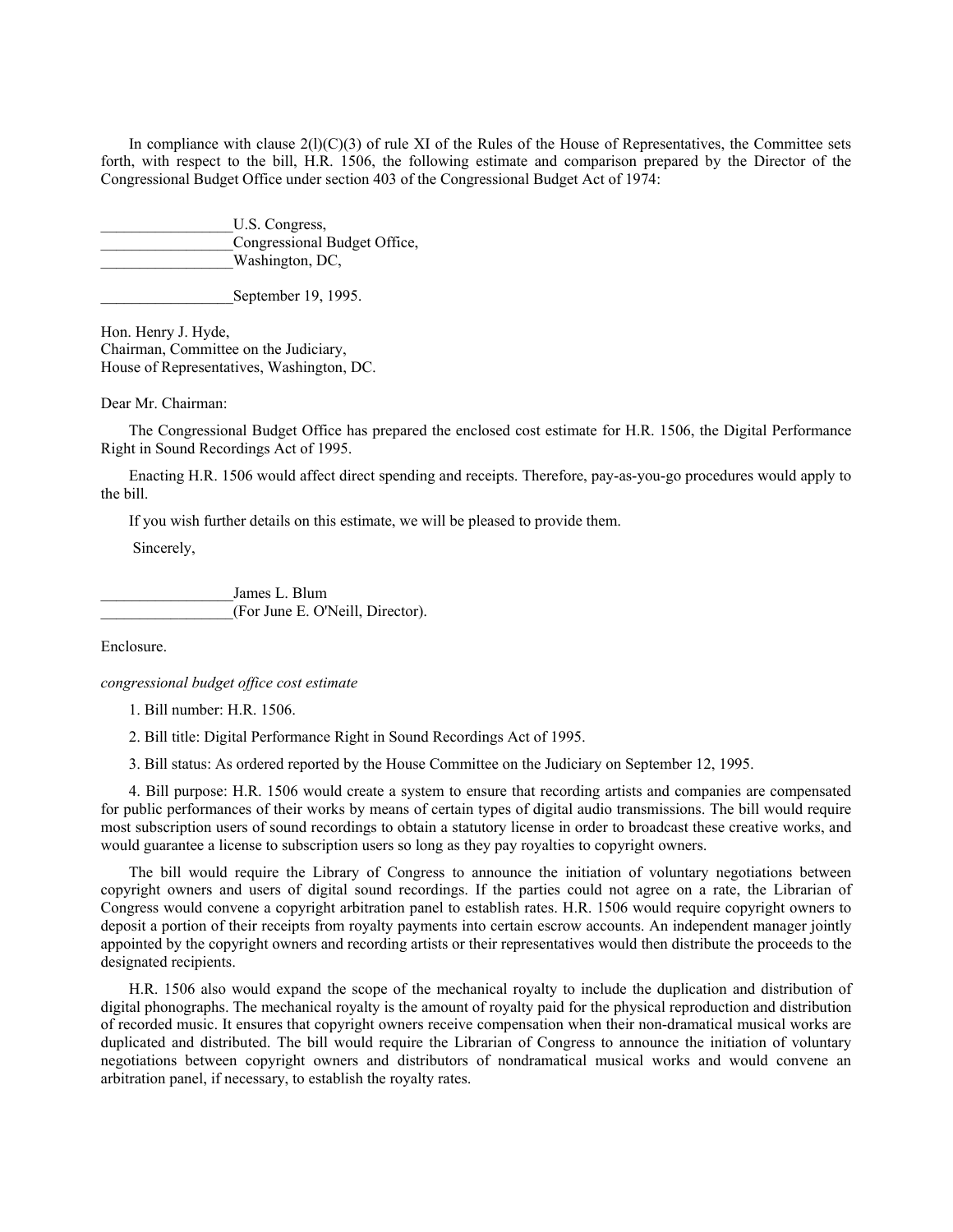In compliance with clause  $2(1)(C)(3)$  of rule XI of the Rules of the House of Representatives, the Committee sets forth, with respect to the bill, H.R. 1506, the following estimate and comparison prepared by the Director of the Congressional Budget Office under section 403 of the Congressional Budget Act of 1974:

U.S. Congress, Congressional Budget Office, Washington, DC,

September 19, 1995.

Hon. Henry J. Hyde, Chairman, Committee on the Judiciary, House of Representatives, Washington, DC.

Dear Mr. Chairman:

The Congressional Budget Office has prepared the enclosed cost estimate for H.R. 1506, the Digital Performance Right in Sound Recordings Act of 1995.

Enacting H.R. 1506 would affect direct spending and receipts. Therefore, pay-as-you-go procedures would apply to the bill.

If you wish further details on this estimate, we will be pleased to provide them.

Sincerely,

James L. Blum \_\_\_\_\_\_\_\_\_\_\_\_\_\_\_\_\_(For June E. O'Neill, Director).

Enclosure.

*congressional budget office cost estimate*

1. Bill number: H.R. 1506.

2. Bill title: Digital Performance Right in Sound Recordings Act of 1995.

3. Bill status: As ordered reported by the House Committee on the Judiciary on September 12, 1995.

4. Bill purpose: H.R. 1506 would create a system to ensure that recording artists and companies are compensated for public performances of their works by means of certain types of digital audio transmissions. The bill would require most subscription users of sound recordings to obtain a statutory license in order to broadcast these creative works, and would guarantee a license to subscription users so long as they pay royalties to copyright owners.

The bill would require the Library of Congress to announce the initiation of voluntary negotiations between copyright owners and users of digital sound recordings. If the parties could not agree on a rate, the Librarian of Congress would convene a copyright arbitration panel to establish rates. H.R. 1506 would require copyright owners to deposit a portion of their receipts from royalty payments into certain escrow accounts. An independent manager jointly appointed by the copyright owners and recording artists or their representatives would then distribute the proceeds to the designated recipients.

H.R. 1506 also would expand the scope of the mechanical royalty to include the duplication and distribution of digital phonographs. The mechanical royalty is the amount of royalty paid for the physical reproduction and distribution of recorded music. It ensures that copyright owners receive compensation when their non-dramatical musical works are duplicated and distributed. The bill would require the Librarian of Congress to announce the initiation of voluntary negotiations between copyright owners and distributors of nondramatical musical works and would convene an arbitration panel, if necessary, to establish the royalty rates.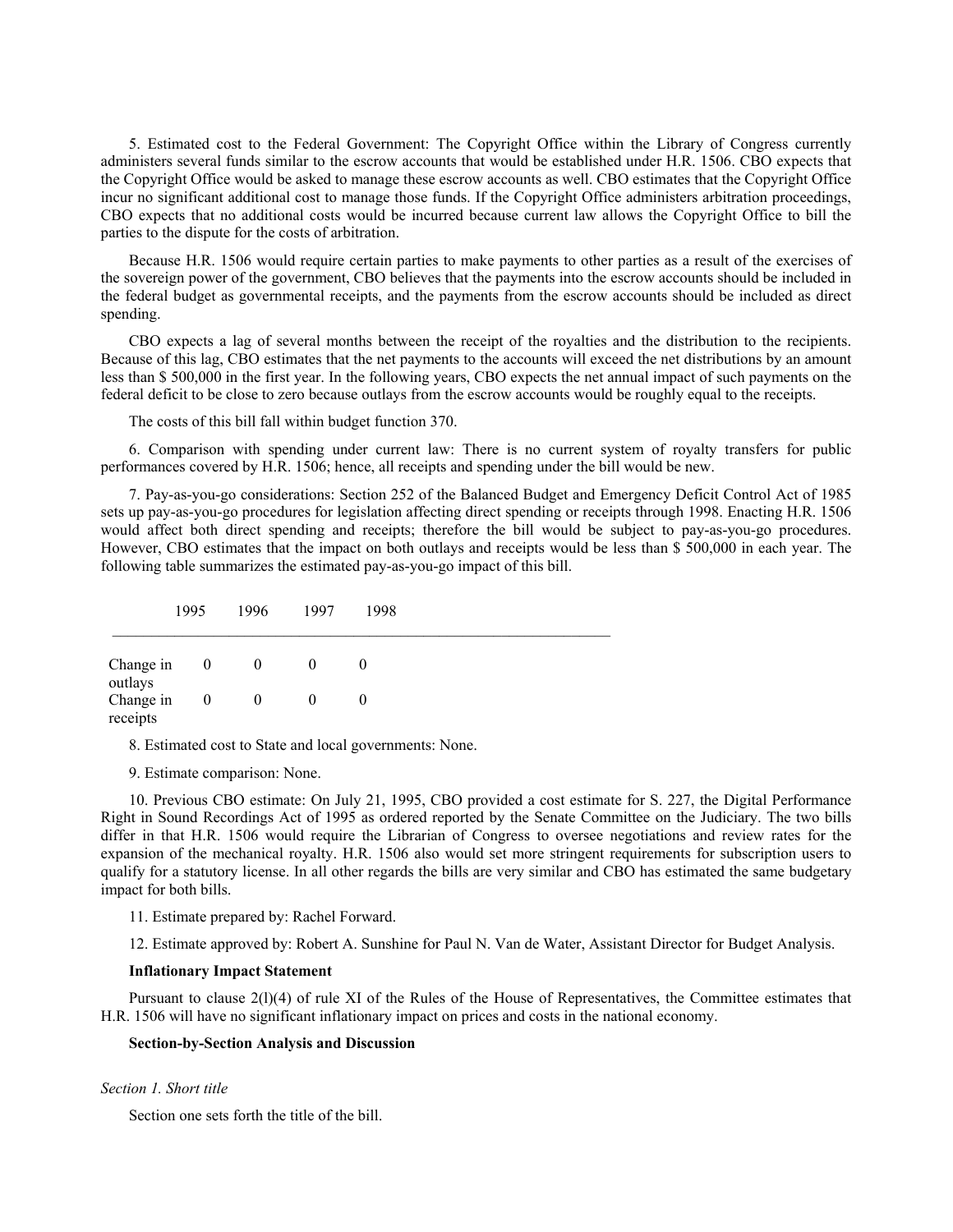5. Estimated cost to the Federal Government: The Copyright Office within the Library of Congress currently administers several funds similar to the escrow accounts that would be established under H.R. 1506. CBO expects that the Copyright Office would be asked to manage these escrow accounts as well. CBO estimates that the Copyright Office incur no significant additional cost to manage those funds. If the Copyright Office administers arbitration proceedings, CBO expects that no additional costs would be incurred because current law allows the Copyright Office to bill the parties to the dispute for the costs of arbitration.

Because H.R. 1506 would require certain parties to make payments to other parties as a result of the exercises of the sovereign power of the government, CBO believes that the payments into the escrow accounts should be included in the federal budget as governmental receipts, and the payments from the escrow accounts should be included as direct spending.

CBO expects a lag of several months between the receipt of the royalties and the distribution to the recipients. Because of this lag, CBO estimates that the net payments to the accounts will exceed the net distributions by an amount less than \$ 500,000 in the first year. In the following years, CBO expects the net annual impact of such payments on the federal deficit to be close to zero because outlays from the escrow accounts would be roughly equal to the receipts.

The costs of this bill fall within budget function 370.

6. Comparison with spending under current law: There is no current system of royalty transfers for public performances covered by H.R. 1506; hence, all receipts and spending under the bill would be new.

7. Pay-as-you-go considerations: Section 252 of the Balanced Budget and Emergency Deficit Control Act of 1985 sets up pay-as-you-go procedures for legislation affecting direct spending or receipts through 1998. Enacting H.R. 1506 would affect both direct spending and receipts; therefore the bill would be subject to pay-as-you-go procedures. However, CBO estimates that the impact on both outlays and receipts would be less than \$ 500,000 in each year. The following table summarizes the estimated pay-as-you-go impact of this bill.

|                       | 1995           | 1996             | 1997     | 1998     |  |  |
|-----------------------|----------------|------------------|----------|----------|--|--|
| Change in<br>outlays  | $\overline{0}$ | $\overline{0}$   | $\theta$ | $\theta$ |  |  |
| Change in<br>receipts | $\mathbf{0}$   | $\boldsymbol{0}$ | $\theta$ | 0        |  |  |

8. Estimated cost to State and local governments: None.

9. Estimate comparison: None.

10. Previous CBO estimate: On July 21, 1995, CBO provided a cost estimate for S. 227, the Digital Performance Right in Sound Recordings Act of 1995 as ordered reported by the Senate Committee on the Judiciary. The two bills differ in that H.R. 1506 would require the Librarian of Congress to oversee negotiations and review rates for the expansion of the mechanical royalty. H.R. 1506 also would set more stringent requirements for subscription users to qualify for a statutory license. In all other regards the bills are very similar and CBO has estimated the same budgetary impact for both bills.

11. Estimate prepared by: Rachel Forward.

12. Estimate approved by: Robert A. Sunshine for Paul N. Van de Water, Assistant Director for Budget Analysis.

#### **Inflationary Impact Statement**

Pursuant to clause 2(l)(4) of rule XI of the Rules of the House of Representatives, the Committee estimates that H.R. 1506 will have no significant inflationary impact on prices and costs in the national economy.

# **Section-by-Section Analysis and Discussion**

#### *Section 1. Short title*

Section one sets forth the title of the bill.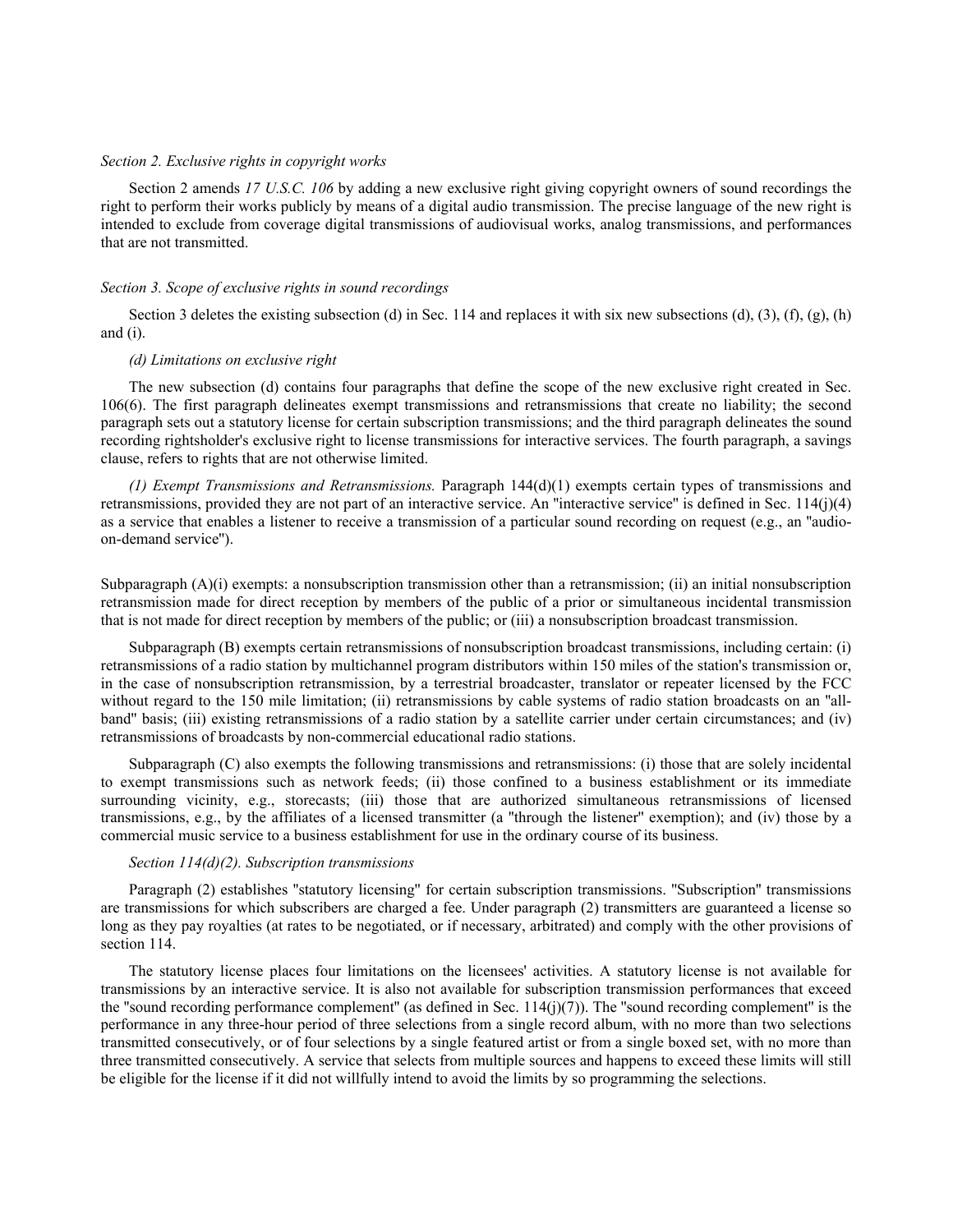## *Section 2. Exclusive rights in copyright works*

Section 2 amends *17 U.S.C. 106* by adding a new exclusive right giving copyright owners of sound recordings the right to perform their works publicly by means of a digital audio transmission. The precise language of the new right is intended to exclude from coverage digital transmissions of audiovisual works, analog transmissions, and performances that are not transmitted.

### *Section 3. Scope of exclusive rights in sound recordings*

Section 3 deletes the existing subsection (d) in Sec. 114 and replaces it with six new subsections (d),  $(3)$ ,  $(f)$ ,  $(g)$ ,  $(h)$ and (i).

### *(d) Limitations on exclusive right*

The new subsection (d) contains four paragraphs that define the scope of the new exclusive right created in Sec. 106(6). The first paragraph delineates exempt transmissions and retransmissions that create no liability; the second paragraph sets out a statutory license for certain subscription transmissions; and the third paragraph delineates the sound recording rightsholder's exclusive right to license transmissions for interactive services. The fourth paragraph, a savings clause, refers to rights that are not otherwise limited.

*(1) Exempt Transmissions and Retransmissions.* Paragraph 144(d)(1) exempts certain types of transmissions and retransmissions, provided they are not part of an interactive service. An ''interactive service'' is defined in Sec. 114(j)(4) as a service that enables a listener to receive a transmission of a particular sound recording on request (e.g., an ''audioon-demand service'').

Subparagraph  $(A)(i)$  exempts: a nonsubscription transmission other than a retransmission; (ii) an initial nonsubscription retransmission made for direct reception by members of the public of a prior or simultaneous incidental transmission that is not made for direct reception by members of the public; or (iii) a nonsubscription broadcast transmission.

Subparagraph (B) exempts certain retransmissions of nonsubscription broadcast transmissions, including certain: (i) retransmissions of a radio station by multichannel program distributors within 150 miles of the station's transmission or, in the case of nonsubscription retransmission, by a terrestrial broadcaster, translator or repeater licensed by the FCC without regard to the 150 mile limitation; (ii) retransmissions by cable systems of radio station broadcasts on an "allband'' basis; (iii) existing retransmissions of a radio station by a satellite carrier under certain circumstances; and (iv) retransmissions of broadcasts by non-commercial educational radio stations.

Subparagraph (C) also exempts the following transmissions and retransmissions: (i) those that are solely incidental to exempt transmissions such as network feeds; (ii) those confined to a business establishment or its immediate surrounding vicinity, e.g., storecasts; (iii) those that are authorized simultaneous retransmissions of licensed transmissions, e.g., by the affiliates of a licensed transmitter (a ''through the listener'' exemption); and (iv) those by a commercial music service to a business establishment for use in the ordinary course of its business.

## *Section 114(d)(2). Subscription transmissions*

Paragraph (2) establishes "statutory licensing" for certain subscription transmissions. "Subscription" transmissions are transmissions for which subscribers are charged a fee. Under paragraph (2) transmitters are guaranteed a license so long as they pay royalties (at rates to be negotiated, or if necessary, arbitrated) and comply with the other provisions of section 114.

The statutory license places four limitations on the licensees' activities. A statutory license is not available for transmissions by an interactive service. It is also not available for subscription transmission performances that exceed the "sound recording performance complement" (as defined in Sec.  $114(j)(7)$ ). The "sound recording complement" is the performance in any three-hour period of three selections from a single record album, with no more than two selections transmitted consecutively, or of four selections by a single featured artist or from a single boxed set, with no more than three transmitted consecutively. A service that selects from multiple sources and happens to exceed these limits will still be eligible for the license if it did not willfully intend to avoid the limits by so programming the selections.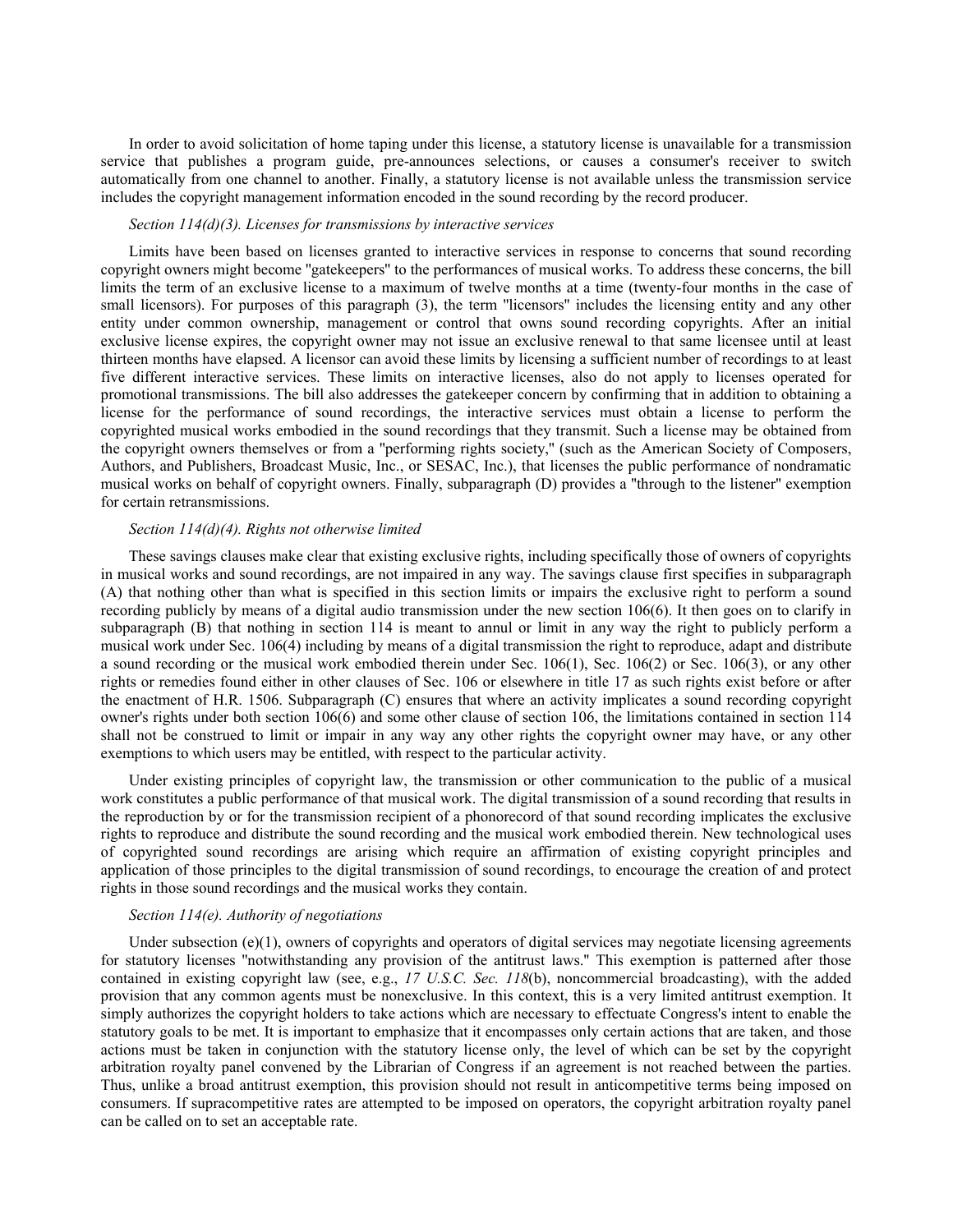In order to avoid solicitation of home taping under this license, a statutory license is unavailable for a transmission service that publishes a program guide, pre-announces selections, or causes a consumer's receiver to switch automatically from one channel to another. Finally, a statutory license is not available unless the transmission service includes the copyright management information encoded in the sound recording by the record producer.

#### *Section 114(d)(3). Licenses for transmissions by interactive services*

Limits have been based on licenses granted to interactive services in response to concerns that sound recording copyright owners might become ''gatekeepers'' to the performances of musical works. To address these concerns, the bill limits the term of an exclusive license to a maximum of twelve months at a time (twenty-four months in the case of small licensors). For purposes of this paragraph (3), the term "licensors" includes the licensing entity and any other entity under common ownership, management or control that owns sound recording copyrights. After an initial exclusive license expires, the copyright owner may not issue an exclusive renewal to that same licensee until at least thirteen months have elapsed. A licensor can avoid these limits by licensing a sufficient number of recordings to at least five different interactive services. These limits on interactive licenses, also do not apply to licenses operated for promotional transmissions. The bill also addresses the gatekeeper concern by confirming that in addition to obtaining a license for the performance of sound recordings, the interactive services must obtain a license to perform the copyrighted musical works embodied in the sound recordings that they transmit. Such a license may be obtained from the copyright owners themselves or from a ''performing rights society,'' (such as the American Society of Composers, Authors, and Publishers, Broadcast Music, Inc., or SESAC, Inc.), that licenses the public performance of nondramatic musical works on behalf of copyright owners. Finally, subparagraph (D) provides a ''through to the listener'' exemption for certain retransmissions.

### *Section 114(d)(4). Rights not otherwise limited*

These savings clauses make clear that existing exclusive rights, including specifically those of owners of copyrights in musical works and sound recordings, are not impaired in any way. The savings clause first specifies in subparagraph (A) that nothing other than what is specified in this section limits or impairs the exclusive right to perform a sound recording publicly by means of a digital audio transmission under the new section 106(6). It then goes on to clarify in subparagraph (B) that nothing in section 114 is meant to annul or limit in any way the right to publicly perform a musical work under Sec. 106(4) including by means of a digital transmission the right to reproduce, adapt and distribute a sound recording or the musical work embodied therein under Sec. 106(1), Sec. 106(2) or Sec. 106(3), or any other rights or remedies found either in other clauses of Sec. 106 or elsewhere in title 17 as such rights exist before or after the enactment of H.R. 1506. Subparagraph (C) ensures that where an activity implicates a sound recording copyright owner's rights under both section 106(6) and some other clause of section 106, the limitations contained in section 114 shall not be construed to limit or impair in any way any other rights the copyright owner may have, or any other exemptions to which users may be entitled, with respect to the particular activity.

Under existing principles of copyright law, the transmission or other communication to the public of a musical work constitutes a public performance of that musical work. The digital transmission of a sound recording that results in the reproduction by or for the transmission recipient of a phonorecord of that sound recording implicates the exclusive rights to reproduce and distribute the sound recording and the musical work embodied therein. New technological uses of copyrighted sound recordings are arising which require an affirmation of existing copyright principles and application of those principles to the digital transmission of sound recordings, to encourage the creation of and protect rights in those sound recordings and the musical works they contain.

#### *Section 114(e). Authority of negotiations*

Under subsection  $(e)(1)$ , owners of copyrights and operators of digital services may negotiate licensing agreements for statutory licenses ''notwithstanding any provision of the antitrust laws.'' This exemption is patterned after those contained in existing copyright law (see, e.g., *17 U.S.C. Sec. 118*(b), noncommercial broadcasting), with the added provision that any common agents must be nonexclusive. In this context, this is a very limited antitrust exemption. It simply authorizes the copyright holders to take actions which are necessary to effectuate Congress's intent to enable the statutory goals to be met. It is important to emphasize that it encompasses only certain actions that are taken, and those actions must be taken in conjunction with the statutory license only, the level of which can be set by the copyright arbitration royalty panel convened by the Librarian of Congress if an agreement is not reached between the parties. Thus, unlike a broad antitrust exemption, this provision should not result in anticompetitive terms being imposed on consumers. If supracompetitive rates are attempted to be imposed on operators, the copyright arbitration royalty panel can be called on to set an acceptable rate.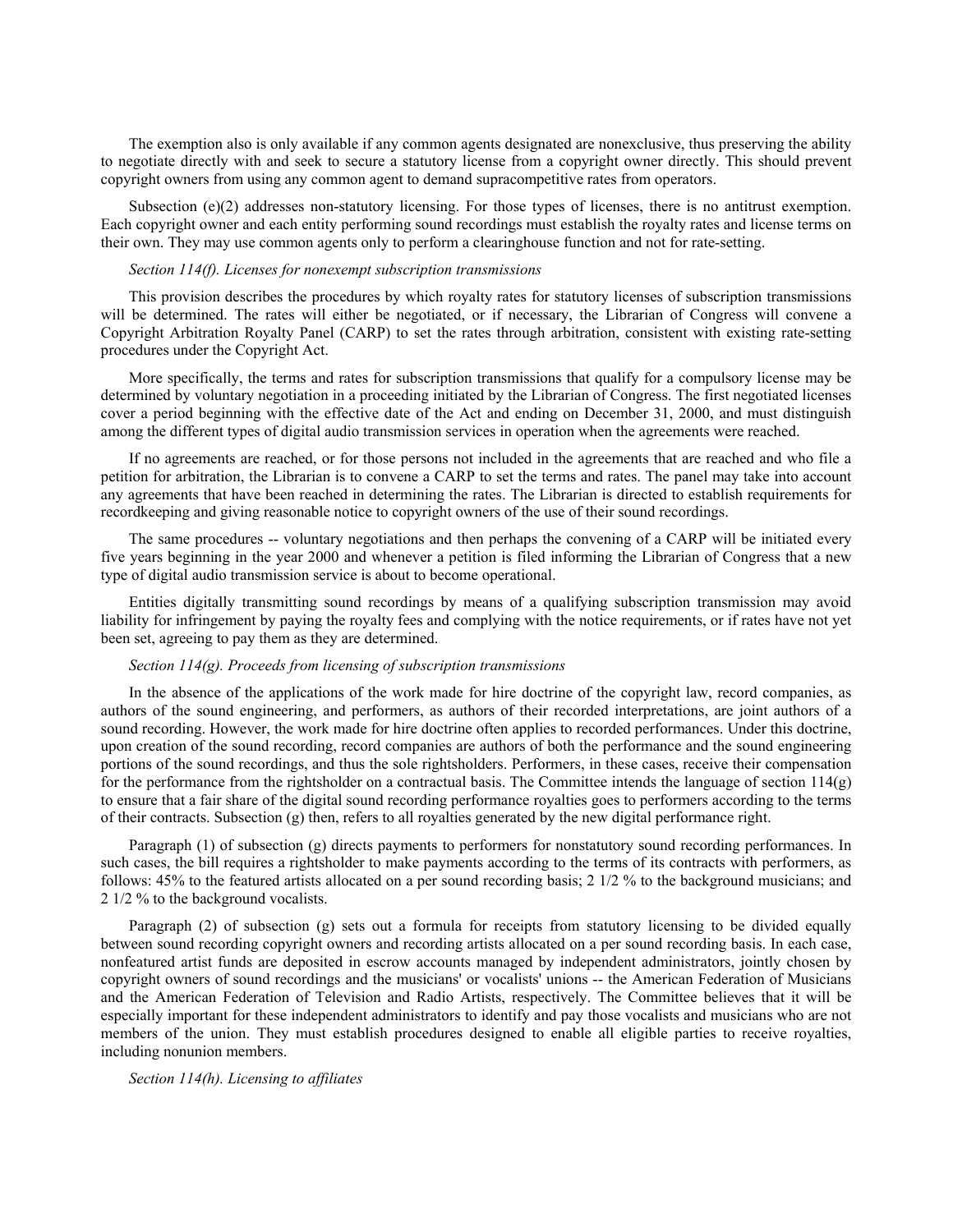The exemption also is only available if any common agents designated are nonexclusive, thus preserving the ability to negotiate directly with and seek to secure a statutory license from a copyright owner directly. This should prevent copyright owners from using any common agent to demand supracompetitive rates from operators.

Subsection (e)(2) addresses non-statutory licensing. For those types of licenses, there is no antitrust exemption. Each copyright owner and each entity performing sound recordings must establish the royalty rates and license terms on their own. They may use common agents only to perform a clearinghouse function and not for rate-setting.

#### *Section 114(f). Licenses for nonexempt subscription transmissions*

This provision describes the procedures by which royalty rates for statutory licenses of subscription transmissions will be determined. The rates will either be negotiated, or if necessary, the Librarian of Congress will convene a Copyright Arbitration Royalty Panel (CARP) to set the rates through arbitration, consistent with existing rate-setting procedures under the Copyright Act.

More specifically, the terms and rates for subscription transmissions that qualify for a compulsory license may be determined by voluntary negotiation in a proceeding initiated by the Librarian of Congress. The first negotiated licenses cover a period beginning with the effective date of the Act and ending on December 31, 2000, and must distinguish among the different types of digital audio transmission services in operation when the agreements were reached.

If no agreements are reached, or for those persons not included in the agreements that are reached and who file a petition for arbitration, the Librarian is to convene a CARP to set the terms and rates. The panel may take into account any agreements that have been reached in determining the rates. The Librarian is directed to establish requirements for recordkeeping and giving reasonable notice to copyright owners of the use of their sound recordings.

The same procedures -- voluntary negotiations and then perhaps the convening of a CARP will be initiated every five years beginning in the year 2000 and whenever a petition is filed informing the Librarian of Congress that a new type of digital audio transmission service is about to become operational.

Entities digitally transmitting sound recordings by means of a qualifying subscription transmission may avoid liability for infringement by paying the royalty fees and complying with the notice requirements, or if rates have not yet been set, agreeing to pay them as they are determined.

### *Section 114(g). Proceeds from licensing of subscription transmissions*

In the absence of the applications of the work made for hire doctrine of the copyright law, record companies, as authors of the sound engineering, and performers, as authors of their recorded interpretations, are joint authors of a sound recording. However, the work made for hire doctrine often applies to recorded performances. Under this doctrine, upon creation of the sound recording, record companies are authors of both the performance and the sound engineering portions of the sound recordings, and thus the sole rightsholders. Performers, in these cases, receive their compensation for the performance from the rightsholder on a contractual basis. The Committee intends the language of section 114(g) to ensure that a fair share of the digital sound recording performance royalties goes to performers according to the terms of their contracts. Subsection (g) then, refers to all royalties generated by the new digital performance right.

Paragraph (1) of subsection (g) directs payments to performers for nonstatutory sound recording performances. In such cases, the bill requires a rightsholder to make payments according to the terms of its contracts with performers, as follows: 45% to the featured artists allocated on a per sound recording basis; 2 1/2 % to the background musicians; and 2 1/2 % to the background vocalists.

Paragraph (2) of subsection (g) sets out a formula for receipts from statutory licensing to be divided equally between sound recording copyright owners and recording artists allocated on a per sound recording basis. In each case, nonfeatured artist funds are deposited in escrow accounts managed by independent administrators, jointly chosen by copyright owners of sound recordings and the musicians' or vocalists' unions -- the American Federation of Musicians and the American Federation of Television and Radio Artists, respectively. The Committee believes that it will be especially important for these independent administrators to identify and pay those vocalists and musicians who are not members of the union. They must establish procedures designed to enable all eligible parties to receive royalties, including nonunion members.

*Section 114(h). Licensing to affiliates*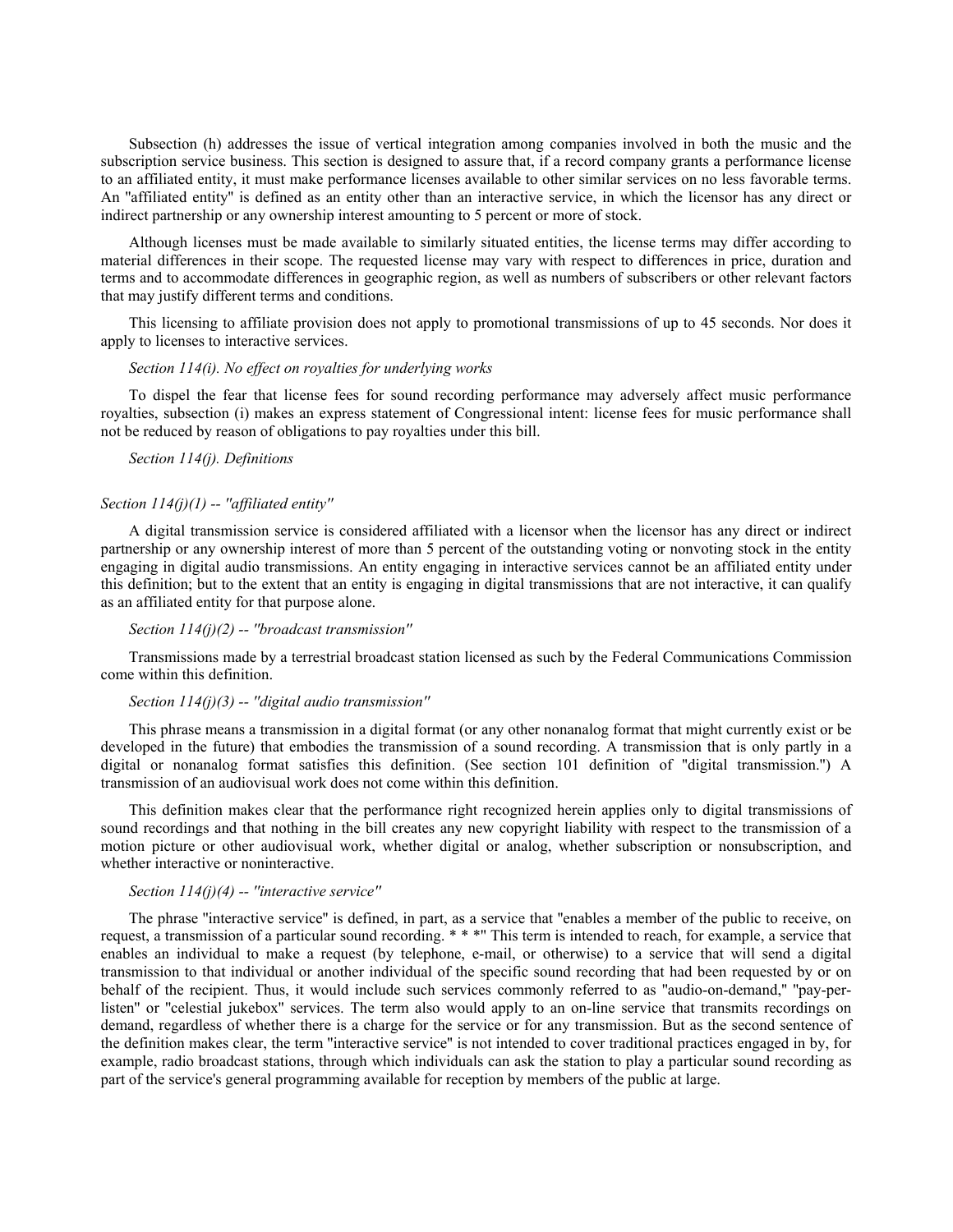Subsection (h) addresses the issue of vertical integration among companies involved in both the music and the subscription service business. This section is designed to assure that, if a record company grants a performance license to an affiliated entity, it must make performance licenses available to other similar services on no less favorable terms. An ''affiliated entity'' is defined as an entity other than an interactive service, in which the licensor has any direct or indirect partnership or any ownership interest amounting to 5 percent or more of stock.

Although licenses must be made available to similarly situated entities, the license terms may differ according to material differences in their scope. The requested license may vary with respect to differences in price, duration and terms and to accommodate differences in geographic region, as well as numbers of subscribers or other relevant factors that may justify different terms and conditions.

This licensing to affiliate provision does not apply to promotional transmissions of up to 45 seconds. Nor does it apply to licenses to interactive services.

#### *Section 114(i). No effect on royalties for underlying works*

To dispel the fear that license fees for sound recording performance may adversely affect music performance royalties, subsection (i) makes an express statement of Congressional intent: license fees for music performance shall not be reduced by reason of obligations to pay royalties under this bill.

### *Section 114(j). Definitions*

## *Section 114(j)(1) -- ''affiliated entity''*

A digital transmission service is considered affiliated with a licensor when the licensor has any direct or indirect partnership or any ownership interest of more than 5 percent of the outstanding voting or nonvoting stock in the entity engaging in digital audio transmissions. An entity engaging in interactive services cannot be an affiliated entity under this definition; but to the extent that an entity is engaging in digital transmissions that are not interactive, it can qualify as an affiliated entity for that purpose alone.

#### *Section 114(j)(2) -- ''broadcast transmission''*

Transmissions made by a terrestrial broadcast station licensed as such by the Federal Communications Commission come within this definition.

## *Section 114(j)(3) -- ''digital audio transmission''*

This phrase means a transmission in a digital format (or any other nonanalog format that might currently exist or be developed in the future) that embodies the transmission of a sound recording. A transmission that is only partly in a digital or nonanalog format satisfies this definition. (See section 101 definition of ''digital transmission.'') A transmission of an audiovisual work does not come within this definition.

This definition makes clear that the performance right recognized herein applies only to digital transmissions of sound recordings and that nothing in the bill creates any new copyright liability with respect to the transmission of a motion picture or other audiovisual work, whether digital or analog, whether subscription or nonsubscription, and whether interactive or noninteractive.

#### *Section 114(j)(4) -- ''interactive service''*

The phrase ''interactive service'' is defined, in part, as a service that ''enables a member of the public to receive, on request, a transmission of a particular sound recording. \* \* \*'' This term is intended to reach, for example, a service that enables an individual to make a request (by telephone, e-mail, or otherwise) to a service that will send a digital transmission to that individual or another individual of the specific sound recording that had been requested by or on behalf of the recipient. Thus, it would include such services commonly referred to as ''audio-on-demand,'' ''pay-perlisten" or "celestial jukebox" services. The term also would apply to an on-line service that transmits recordings on demand, regardless of whether there is a charge for the service or for any transmission. But as the second sentence of the definition makes clear, the term ''interactive service'' is not intended to cover traditional practices engaged in by, for example, radio broadcast stations, through which individuals can ask the station to play a particular sound recording as part of the service's general programming available for reception by members of the public at large.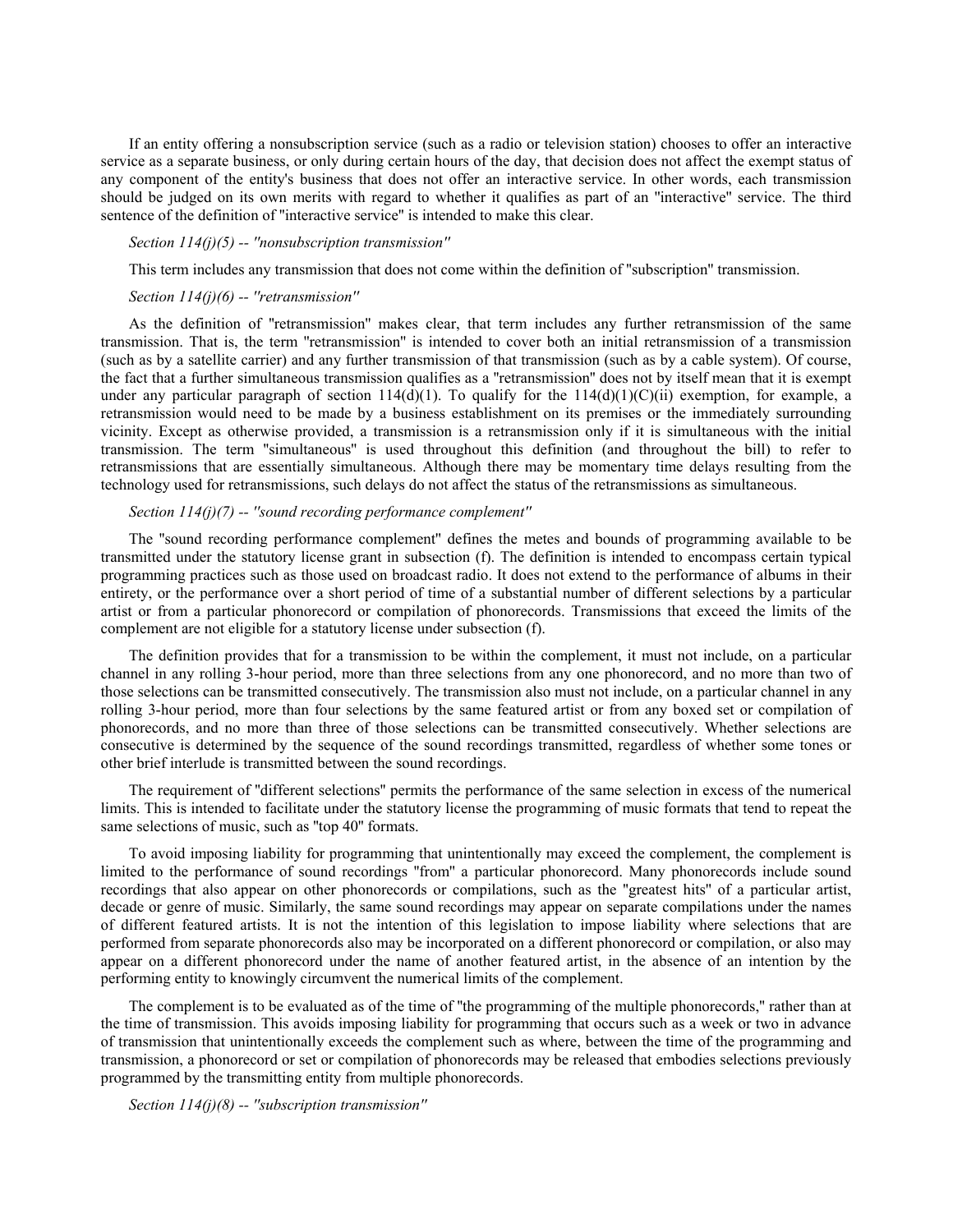If an entity offering a nonsubscription service (such as a radio or television station) chooses to offer an interactive service as a separate business, or only during certain hours of the day, that decision does not affect the exempt status of any component of the entity's business that does not offer an interactive service. In other words, each transmission should be judged on its own merits with regard to whether it qualifies as part of an ''interactive'' service. The third sentence of the definition of ''interactive service'' is intended to make this clear.

#### *Section 114(j)(5) -- ''nonsubscription transmission''*

This term includes any transmission that does not come within the definition of ''subscription'' transmission.

#### *Section 114(j)(6) -- ''retransmission''*

As the definition of ''retransmission'' makes clear, that term includes any further retransmission of the same transmission. That is, the term ''retransmission'' is intended to cover both an initial retransmission of a transmission (such as by a satellite carrier) and any further transmission of that transmission (such as by a cable system). Of course, the fact that a further simultaneous transmission qualifies as a ''retransmission'' does not by itself mean that it is exempt under any particular paragraph of section  $114(d)(1)$ . To qualify for the  $114(d)(1)(C)(ii)$  exemption, for example, a retransmission would need to be made by a business establishment on its premises or the immediately surrounding vicinity. Except as otherwise provided, a transmission is a retransmission only if it is simultaneous with the initial transmission. The term ''simultaneous'' is used throughout this definition (and throughout the bill) to refer to retransmissions that are essentially simultaneous. Although there may be momentary time delays resulting from the technology used for retransmissions, such delays do not affect the status of the retransmissions as simultaneous.

## *Section 114(j)(7) -- ''sound recording performance complement''*

The ''sound recording performance complement'' defines the metes and bounds of programming available to be transmitted under the statutory license grant in subsection (f). The definition is intended to encompass certain typical programming practices such as those used on broadcast radio. It does not extend to the performance of albums in their entirety, or the performance over a short period of time of a substantial number of different selections by a particular artist or from a particular phonorecord or compilation of phonorecords. Transmissions that exceed the limits of the complement are not eligible for a statutory license under subsection (f).

The definition provides that for a transmission to be within the complement, it must not include, on a particular channel in any rolling 3-hour period, more than three selections from any one phonorecord, and no more than two of those selections can be transmitted consecutively. The transmission also must not include, on a particular channel in any rolling 3-hour period, more than four selections by the same featured artist or from any boxed set or compilation of phonorecords, and no more than three of those selections can be transmitted consecutively. Whether selections are consecutive is determined by the sequence of the sound recordings transmitted, regardless of whether some tones or other brief interlude is transmitted between the sound recordings.

The requirement of ''different selections'' permits the performance of the same selection in excess of the numerical limits. This is intended to facilitate under the statutory license the programming of music formats that tend to repeat the same selections of music, such as "top 40" formats.

To avoid imposing liability for programming that unintentionally may exceed the complement, the complement is limited to the performance of sound recordings ''from'' a particular phonorecord. Many phonorecords include sound recordings that also appear on other phonorecords or compilations, such as the ''greatest hits'' of a particular artist, decade or genre of music. Similarly, the same sound recordings may appear on separate compilations under the names of different featured artists. It is not the intention of this legislation to impose liability where selections that are performed from separate phonorecords also may be incorporated on a different phonorecord or compilation, or also may appear on a different phonorecord under the name of another featured artist, in the absence of an intention by the performing entity to knowingly circumvent the numerical limits of the complement.

The complement is to be evaluated as of the time of ''the programming of the multiple phonorecords,'' rather than at the time of transmission. This avoids imposing liability for programming that occurs such as a week or two in advance of transmission that unintentionally exceeds the complement such as where, between the time of the programming and transmission, a phonorecord or set or compilation of phonorecords may be released that embodies selections previously programmed by the transmitting entity from multiple phonorecords.

*Section 114(j)(8) -- ''subscription transmission''*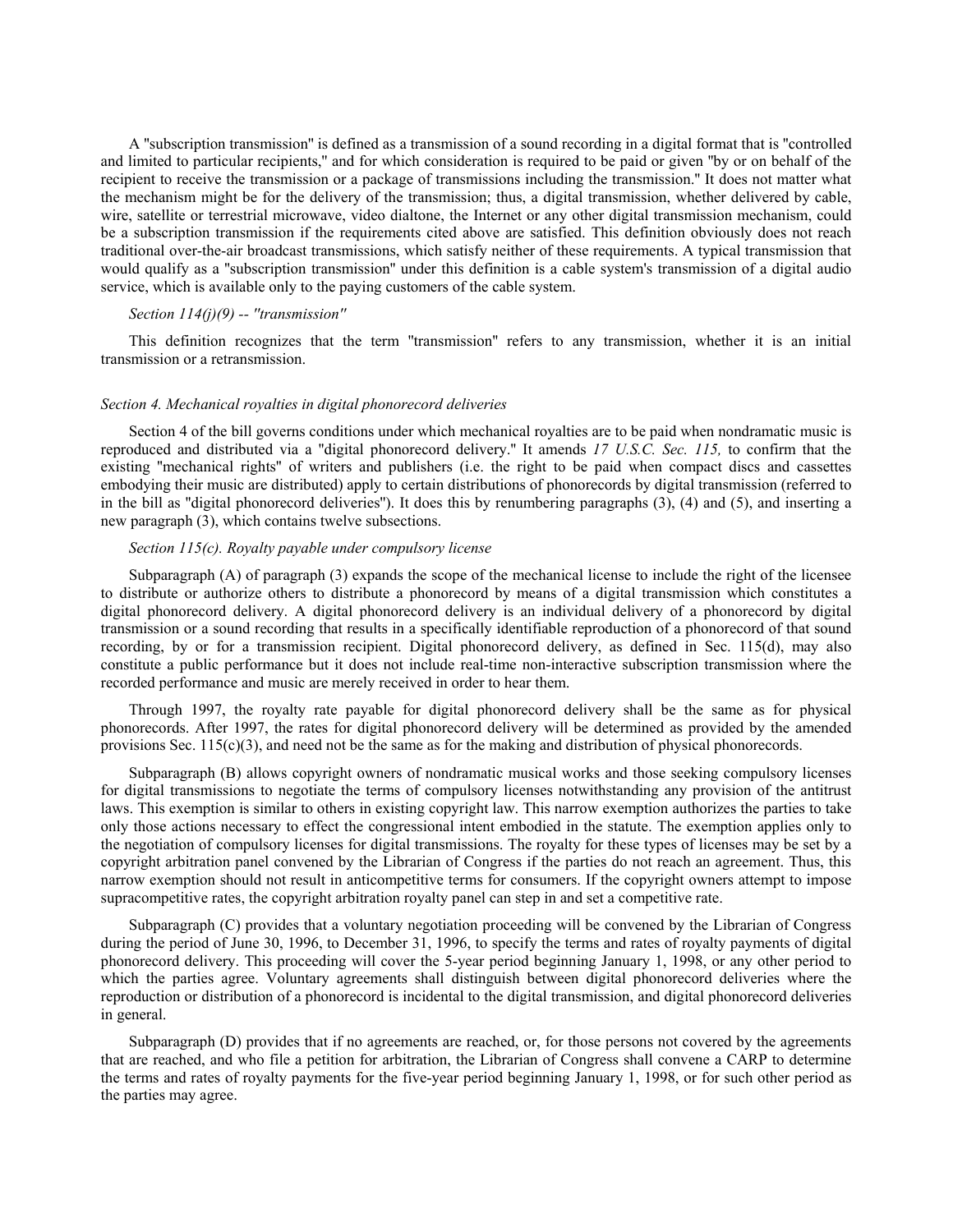A ''subscription transmission'' is defined as a transmission of a sound recording in a digital format that is ''controlled and limited to particular recipients,'' and for which consideration is required to be paid or given ''by or on behalf of the recipient to receive the transmission or a package of transmissions including the transmission.'' It does not matter what the mechanism might be for the delivery of the transmission; thus, a digital transmission, whether delivered by cable, wire, satellite or terrestrial microwave, video dialtone, the Internet or any other digital transmission mechanism, could be a subscription transmission if the requirements cited above are satisfied. This definition obviously does not reach traditional over-the-air broadcast transmissions, which satisfy neither of these requirements. A typical transmission that would qualify as a ''subscription transmission'' under this definition is a cable system's transmission of a digital audio service, which is available only to the paying customers of the cable system.

## *Section 114(j)(9) -- ''transmission''*

This definition recognizes that the term ''transmission'' refers to any transmission, whether it is an initial transmission or a retransmission.

### *Section 4. Mechanical royalties in digital phonorecord deliveries*

Section 4 of the bill governs conditions under which mechanical royalties are to be paid when nondramatic music is reproduced and distributed via a ''digital phonorecord delivery.'' It amends *17 U.S.C. Sec. 115,* to confirm that the existing ''mechanical rights'' of writers and publishers (i.e. the right to be paid when compact discs and cassettes embodying their music are distributed) apply to certain distributions of phonorecords by digital transmission (referred to in the bill as ''digital phonorecord deliveries''). It does this by renumbering paragraphs (3), (4) and (5), and inserting a new paragraph (3), which contains twelve subsections.

## *Section 115(c). Royalty payable under compulsory license*

Subparagraph (A) of paragraph (3) expands the scope of the mechanical license to include the right of the licensee to distribute or authorize others to distribute a phonorecord by means of a digital transmission which constitutes a digital phonorecord delivery. A digital phonorecord delivery is an individual delivery of a phonorecord by digital transmission or a sound recording that results in a specifically identifiable reproduction of a phonorecord of that sound recording, by or for a transmission recipient. Digital phonorecord delivery, as defined in Sec. 115(d), may also constitute a public performance but it does not include real-time non-interactive subscription transmission where the recorded performance and music are merely received in order to hear them.

Through 1997, the royalty rate payable for digital phonorecord delivery shall be the same as for physical phonorecords. After 1997, the rates for digital phonorecord delivery will be determined as provided by the amended provisions Sec.  $115(c)(3)$ , and need not be the same as for the making and distribution of physical phonorecords.

Subparagraph (B) allows copyright owners of nondramatic musical works and those seeking compulsory licenses for digital transmissions to negotiate the terms of compulsory licenses notwithstanding any provision of the antitrust laws. This exemption is similar to others in existing copyright law. This narrow exemption authorizes the parties to take only those actions necessary to effect the congressional intent embodied in the statute. The exemption applies only to the negotiation of compulsory licenses for digital transmissions. The royalty for these types of licenses may be set by a copyright arbitration panel convened by the Librarian of Congress if the parties do not reach an agreement. Thus, this narrow exemption should not result in anticompetitive terms for consumers. If the copyright owners attempt to impose supracompetitive rates, the copyright arbitration royalty panel can step in and set a competitive rate.

Subparagraph (C) provides that a voluntary negotiation proceeding will be convened by the Librarian of Congress during the period of June 30, 1996, to December 31, 1996, to specify the terms and rates of royalty payments of digital phonorecord delivery. This proceeding will cover the 5-year period beginning January 1, 1998, or any other period to which the parties agree. Voluntary agreements shall distinguish between digital phonorecord deliveries where the reproduction or distribution of a phonorecord is incidental to the digital transmission, and digital phonorecord deliveries in general.

Subparagraph (D) provides that if no agreements are reached, or, for those persons not covered by the agreements that are reached, and who file a petition for arbitration, the Librarian of Congress shall convene a CARP to determine the terms and rates of royalty payments for the five-year period beginning January 1, 1998, or for such other period as the parties may agree.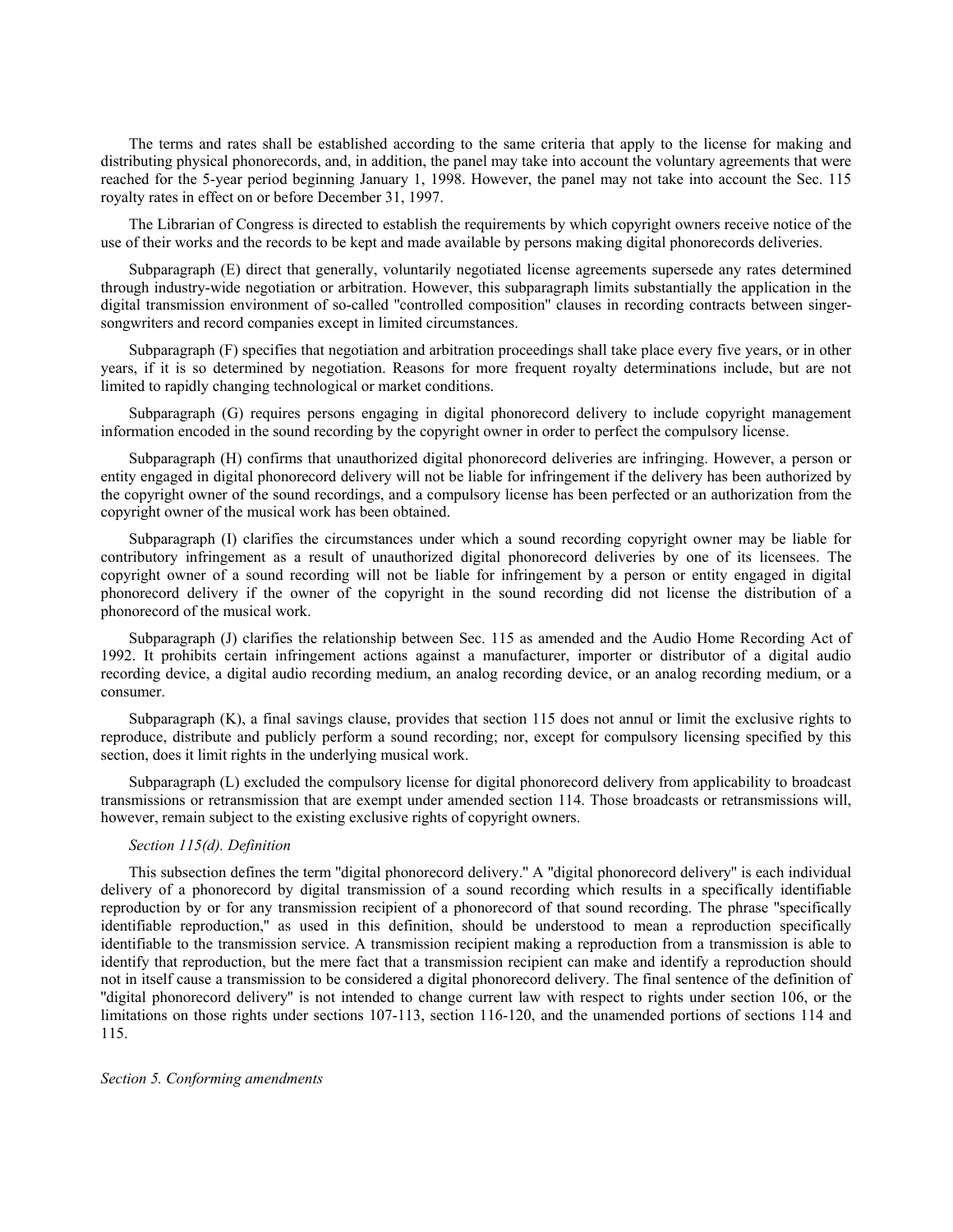The terms and rates shall be established according to the same criteria that apply to the license for making and distributing physical phonorecords, and, in addition, the panel may take into account the voluntary agreements that were reached for the 5-year period beginning January 1, 1998. However, the panel may not take into account the Sec. 115 royalty rates in effect on or before December 31, 1997.

The Librarian of Congress is directed to establish the requirements by which copyright owners receive notice of the use of their works and the records to be kept and made available by persons making digital phonorecords deliveries.

Subparagraph (E) direct that generally, voluntarily negotiated license agreements supersede any rates determined through industry-wide negotiation or arbitration. However, this subparagraph limits substantially the application in the digital transmission environment of so-called ''controlled composition'' clauses in recording contracts between singersongwriters and record companies except in limited circumstances.

Subparagraph (F) specifies that negotiation and arbitration proceedings shall take place every five years, or in other years, if it is so determined by negotiation. Reasons for more frequent royalty determinations include, but are not limited to rapidly changing technological or market conditions.

Subparagraph (G) requires persons engaging in digital phonorecord delivery to include copyright management information encoded in the sound recording by the copyright owner in order to perfect the compulsory license.

Subparagraph (H) confirms that unauthorized digital phonorecord deliveries are infringing. However, a person or entity engaged in digital phonorecord delivery will not be liable for infringement if the delivery has been authorized by the copyright owner of the sound recordings, and a compulsory license has been perfected or an authorization from the copyright owner of the musical work has been obtained.

Subparagraph (I) clarifies the circumstances under which a sound recording copyright owner may be liable for contributory infringement as a result of unauthorized digital phonorecord deliveries by one of its licensees. The copyright owner of a sound recording will not be liable for infringement by a person or entity engaged in digital phonorecord delivery if the owner of the copyright in the sound recording did not license the distribution of a phonorecord of the musical work.

Subparagraph (J) clarifies the relationship between Sec. 115 as amended and the Audio Home Recording Act of 1992. It prohibits certain infringement actions against a manufacturer, importer or distributor of a digital audio recording device, a digital audio recording medium, an analog recording device, or an analog recording medium, or a consumer.

Subparagraph (K), a final savings clause, provides that section 115 does not annul or limit the exclusive rights to reproduce, distribute and publicly perform a sound recording; nor, except for compulsory licensing specified by this section, does it limit rights in the underlying musical work.

Subparagraph (L) excluded the compulsory license for digital phonorecord delivery from applicability to broadcast transmissions or retransmission that are exempt under amended section 114. Those broadcasts or retransmissions will, however, remain subject to the existing exclusive rights of copyright owners.

#### *Section 115(d). Definition*

This subsection defines the term ''digital phonorecord delivery.'' A ''digital phonorecord delivery'' is each individual delivery of a phonorecord by digital transmission of a sound recording which results in a specifically identifiable reproduction by or for any transmission recipient of a phonorecord of that sound recording. The phrase ''specifically identifiable reproduction,'' as used in this definition, should be understood to mean a reproduction specifically identifiable to the transmission service. A transmission recipient making a reproduction from a transmission is able to identify that reproduction, but the mere fact that a transmission recipient can make and identify a reproduction should not in itself cause a transmission to be considered a digital phonorecord delivery. The final sentence of the definition of ''digital phonorecord delivery'' is not intended to change current law with respect to rights under section 106, or the limitations on those rights under sections 107-113, section 116-120, and the unamended portions of sections 114 and 115.

#### *Section 5. Conforming amendments*